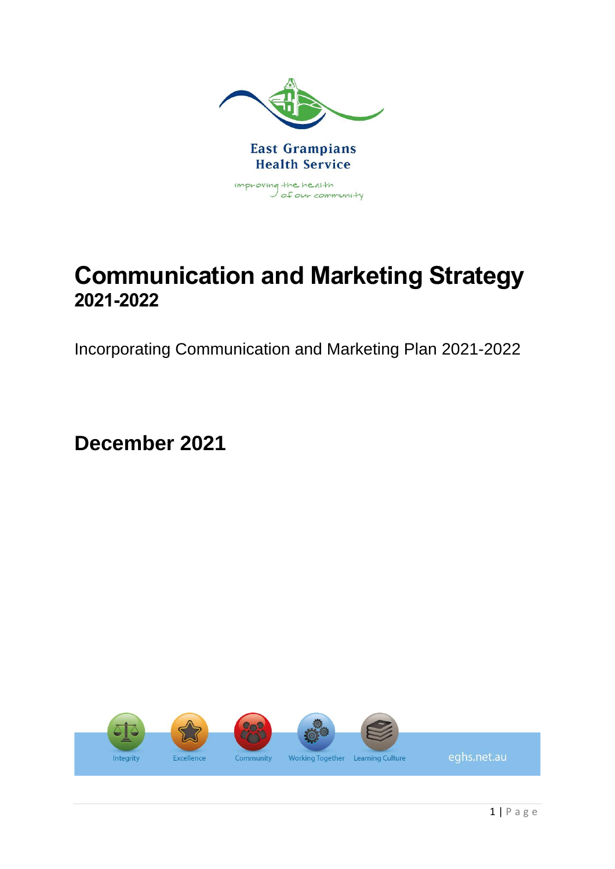

# **Communication and Marketing Strategy 2021-2022**

Incorporating Communication and Marketing Plan 2021-2022

**December 2021**

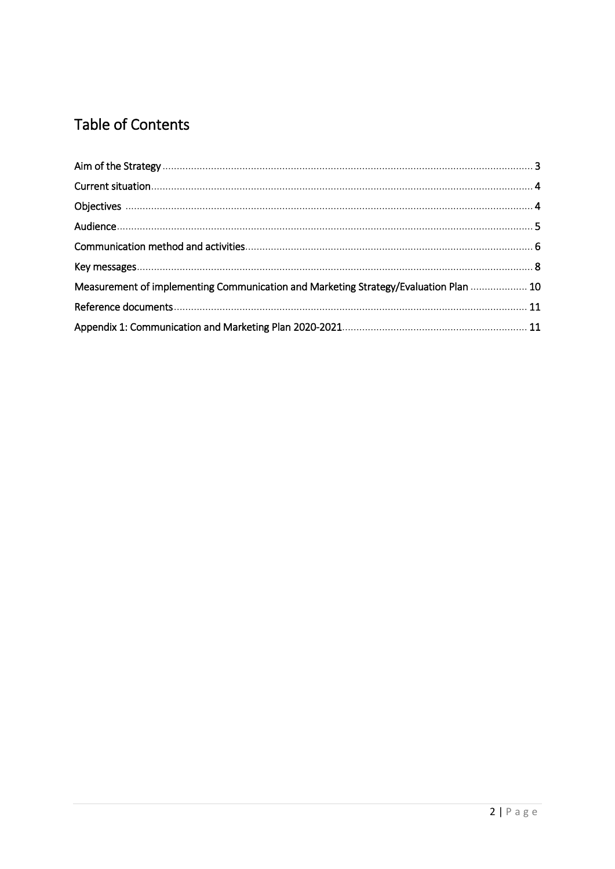# **Table of Contents**

| Measurement of implementing Communication and Marketing Strategy/Evaluation Plan  10 |  |
|--------------------------------------------------------------------------------------|--|
|                                                                                      |  |
|                                                                                      |  |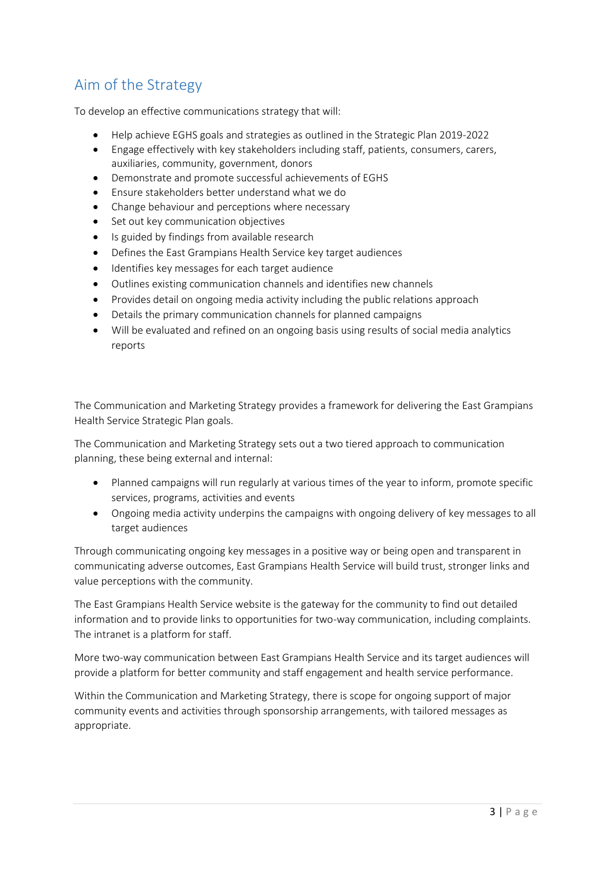### Aim of the Strategy

To develop an effective communications strategy that will:

- Help achieve EGHS goals and strategies as outlined in the Strategic Plan 2019-2022
- Engage effectively with key stakeholders including staff, patients, consumers, carers, auxiliaries, community, government, donors
- Demonstrate and promote successful achievements of EGHS
- Ensure stakeholders better understand what we do
- Change behaviour and perceptions where necessary
- Set out key communication objectives
- Is guided by findings from available research
- Defines the East Grampians Health Service key target audiences
- Identifies key messages for each target audience
- Outlines existing communication channels and identifies new channels
- Provides detail on ongoing media activity including the public relations approach
- Details the primary communication channels for planned campaigns
- Will be evaluated and refined on an ongoing basis using results of social media analytics reports

The Communication and Marketing Strategy provides a framework for delivering the East Grampians Health Service Strategic Plan goals.

The Communication and Marketing Strategy sets out a two tiered approach to communication planning, these being external and internal:

- Planned campaigns will run regularly at various times of the year to inform, promote specific services, programs, activities and events
- Ongoing media activity underpins the campaigns with ongoing delivery of key messages to all target audiences

Through communicating ongoing key messages in a positive way or being open and transparent in communicating adverse outcomes, East Grampians Health Service will build trust, stronger links and value perceptions with the community.

The East Grampians Health Service website is the gateway for the community to find out detailed information and to provide links to opportunities for two-way communication, including complaints. The intranet is a platform for staff.

More two-way communication between East Grampians Health Service and its target audiences will provide a platform for better community and staff engagement and health service performance.

Within the Communication and Marketing Strategy, there is scope for ongoing support of major community events and activities through sponsorship arrangements, with tailored messages as appropriate.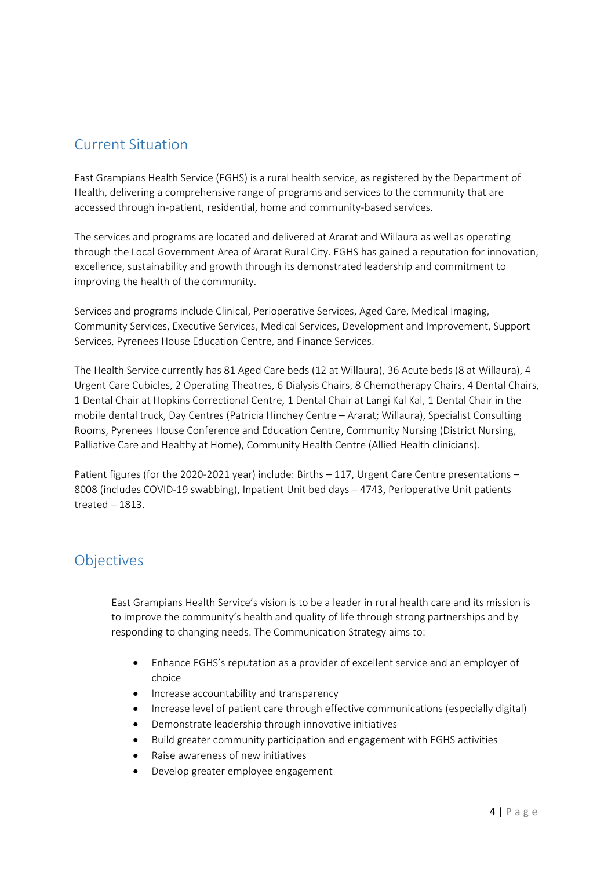#### Current Situation

East Grampians Health Service (EGHS) is a rural health service, as registered by the Department of Health, delivering a comprehensive range of programs and services to the community that are accessed through in-patient, residential, home and community-based services.

The services and programs are located and delivered at Ararat and Willaura as well as operating through the Local Government Area of Ararat Rural City. EGHS has gained a reputation for innovation, excellence, sustainability and growth through its demonstrated leadership and commitment to improving the health of the community.

Services and programs include Clinical, Perioperative Services, Aged Care, Medical Imaging, Community Services, Executive Services, Medical Services, Development and Improvement, Support Services, Pyrenees House Education Centre, and Finance Services.

The Health Service currently has 81 Aged Care beds (12 at Willaura), 36 Acute beds (8 at Willaura), 4 Urgent Care Cubicles, 2 Operating Theatres, 6 Dialysis Chairs, 8 Chemotherapy Chairs, 4 Dental Chairs, 1 Dental Chair at Hopkins Correctional Centre, 1 Dental Chair at Langi Kal Kal, 1 Dental Chair in the mobile dental truck, Day Centres (Patricia Hinchey Centre – Ararat; Willaura), Specialist Consulting Rooms, Pyrenees House Conference and Education Centre, Community Nursing (District Nursing, Palliative Care and Healthy at Home), Community Health Centre (Allied Health clinicians).

Patient figures (for the 2020-2021 year) include: Births – 117, Urgent Care Centre presentations – 8008 (includes COVID-19 swabbing), Inpatient Unit bed days – 4743, Perioperative Unit patients treated – 1813.

#### **Objectives**

East Grampians Health Service's vision is to be a leader in rural health care and its mission is to improve the community's health and quality of life through strong partnerships and by responding to changing needs. The Communication Strategy aims to:

- Enhance EGHS's reputation as a provider of excellent service and an employer of choice
- Increase accountability and transparency
- Increase level of patient care through effective communications (especially digital)
- Demonstrate leadership through innovative initiatives
- Build greater community participation and engagement with EGHS activities
- Raise awareness of new initiatives
- Develop greater employee engagement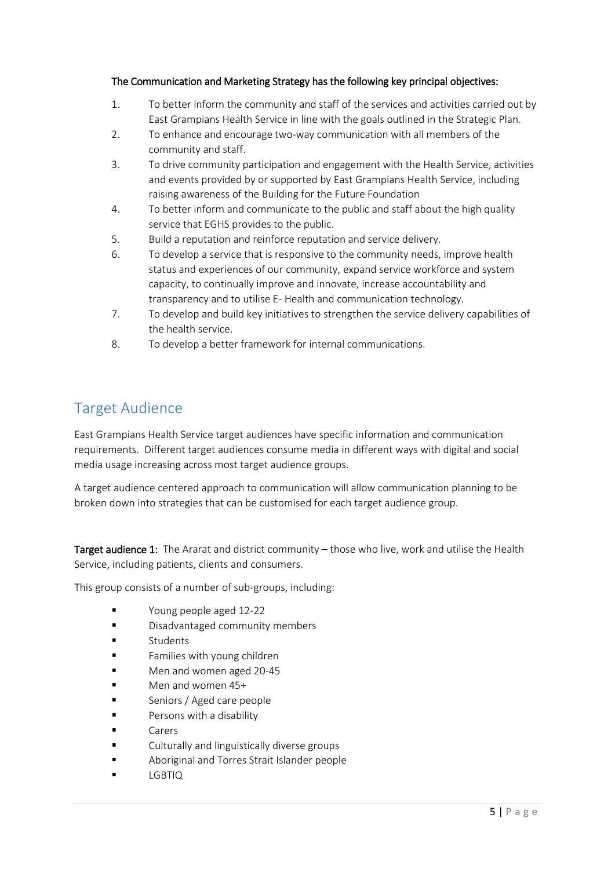#### The Communication and Marketing Strategy has the following key principal objectives:

- 1. To better inform the community and staff of the services and activities carried out by East Grampians Health Service in line with the goals outlined in the Strategic Plan.
- 2. To enhance and encourage two-way communication with all members of the community and staff.
- 3. To drive community participation and engagement with the Health Service, activities and events provided by or supported by East Grampians Health Service, including raising awareness of the Building for the Future Foundation
- 4. To better inform and communicate to the public and staff about the high quality service that EGHS provides to the public.
- 5. Build a reputation and reinforce reputation and service delivery.
- 6. To develop a service that is responsive to the community needs, improve health status and experiences of our community, expand service workforce and system capacity, to continually improve and innovate, increase accountability and transparency and to utilise E- Health and communication technology.
- 7. To develop and build key initiatives to strengthen the service delivery capabilities of the health service.
- 8. To develop a better framework for internal communications.

#### Target Audience

East Grampians Health Service target audiences have specific information and communication requirements. Different target audiences consume media in different ways with digital and social media usage increasing across most target audience groups.

A target audience centered approach to communication will allow communication planning to be broken down into strategies that can be customised for each target audience group.

Target audience 1: The Ararat and district community – those who live, work and utilise the Health Service, including patients, clients and consumers.

This group consists of a number of sub-groups, including:

- Young people aged 12-22
- **Disadvantaged community members**
- **Students**
- Families with young children
- Men and women aged 20-45
- Men and women 45+
- Seniors / Aged care people
- **Parsons with a disability**
- Carers
- Culturally and linguistically diverse groups
- Aboriginal and Torres Strait Islander people
- LGBTIQ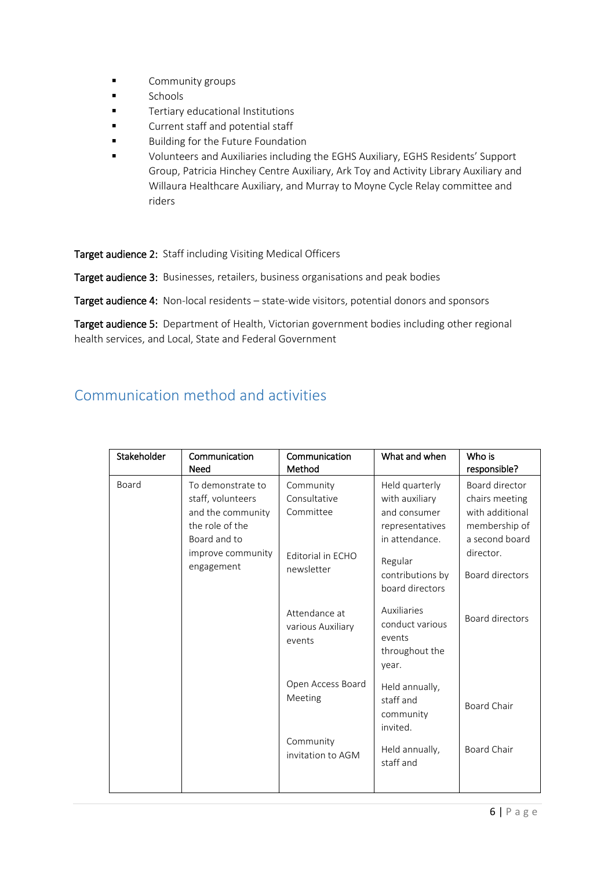- **E** Community groups
- Schools
- **Tertiary educational Institutions**
- **Example 3** Current staff and potential staff
- Building for the Future Foundation
- Volunteers and Auxiliaries including the EGHS Auxiliary, EGHS Residents' Support Group, Patricia Hinchey Centre Auxiliary, Ark Toy and Activity Library Auxiliary and Willaura Healthcare Auxiliary, and Murray to Moyne Cycle Relay committee and riders

Target audience 2: Staff including Visiting Medical Officers

Target audience 3: Businesses, retailers, business organisations and peak bodies

Target audience 4: Non-local residents - state-wide visitors, potential donors and sponsors

Target audience 5: Department of Health, Victorian government bodies including other regional health services, and Local, State and Federal Government

#### Communication method and activities

| Stakeholder | Communication<br>Need                                                                                                             | Communication<br>Method                                                   | What and when                                                                                                                           | Who is<br>responsible?                                                                                                 |
|-------------|-----------------------------------------------------------------------------------------------------------------------------------|---------------------------------------------------------------------------|-----------------------------------------------------------------------------------------------------------------------------------------|------------------------------------------------------------------------------------------------------------------------|
| Board       | To demonstrate to<br>staff, volunteers<br>and the community<br>the role of the<br>Board and to<br>improve community<br>engagement | Community<br>Consultative<br>Committee<br>Editorial in ECHO<br>newsletter | Held quarterly<br>with auxiliary<br>and consumer<br>representatives<br>in attendance.<br>Regular<br>contributions by<br>board directors | Board director<br>chairs meeting<br>with additional<br>membership of<br>a second board<br>director.<br>Board directors |
|             |                                                                                                                                   | Attendance at<br>various Auxiliary<br>events                              | Auxiliaries<br>conduct various<br>events<br>throughout the<br>year.                                                                     | Board directors                                                                                                        |
|             |                                                                                                                                   | Open Access Board<br>Meeting                                              | Held annually,<br>staff and<br>community<br>invited.                                                                                    | Board Chair                                                                                                            |
|             |                                                                                                                                   | Community<br>invitation to AGM                                            | Held annually,<br>staff and                                                                                                             | Board Chair                                                                                                            |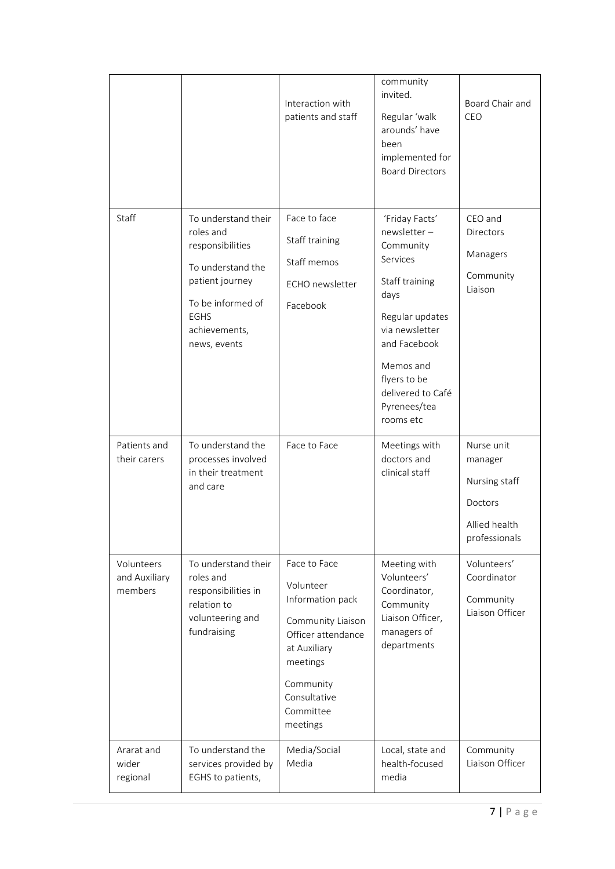|                                        |                                                                                                                                                                   | Interaction with<br>patients and staff                                                                                                                                     | community<br>invited.<br>Regular 'walk<br>arounds' have<br>been<br>implemented for<br><b>Board Directors</b>                                                                                                         | Board Chair and<br>CEO                                                              |
|----------------------------------------|-------------------------------------------------------------------------------------------------------------------------------------------------------------------|----------------------------------------------------------------------------------------------------------------------------------------------------------------------------|----------------------------------------------------------------------------------------------------------------------------------------------------------------------------------------------------------------------|-------------------------------------------------------------------------------------|
| <b>Staff</b>                           | To understand their<br>roles and<br>responsibilities<br>To understand the<br>patient journey<br>To be informed of<br><b>EGHS</b><br>achievements,<br>news, events | Face to face<br>Staff training<br>Staff memos<br><b>ECHO</b> newsletter<br>Facebook                                                                                        | 'Friday Facts'<br>newsletter-<br>Community<br>Services<br>Staff training<br>days<br>Regular updates<br>via newsletter<br>and Facebook<br>Memos and<br>flyers to be<br>delivered to Café<br>Pyrenees/tea<br>rooms etc | CEO and<br><b>Directors</b><br>Managers<br>Community<br>Liaison                     |
| Patients and<br>their carers           | To understand the<br>processes involved<br>in their treatment<br>and care                                                                                         | Face to Face                                                                                                                                                               | Meetings with<br>doctors and<br>clinical staff                                                                                                                                                                       | Nurse unit<br>manager<br>Nursing staff<br>Doctors<br>Allied health<br>professionals |
| Volunteers<br>and Auxiliary<br>members | To understand their<br>roles and<br>responsibilities in<br>relation to<br>volunteering and<br>fundraising                                                         | Face to Face<br>Volunteer<br>Information pack<br>Community Liaison<br>Officer attendance<br>at Auxiliary<br>meetings<br>Community<br>Consultative<br>Committee<br>meetings | Meeting with<br>Volunteers'<br>Coordinator,<br>Community<br>Liaison Officer,<br>managers of<br>departments                                                                                                           | Volunteers'<br>Coordinator<br>Community<br>Liaison Officer                          |
| Ararat and<br>wider<br>regional        | To understand the<br>services provided by<br>EGHS to patients,                                                                                                    | Media/Social<br>Media                                                                                                                                                      | Local, state and<br>health-focused<br>media                                                                                                                                                                          | Community<br>Liaison Officer                                                        |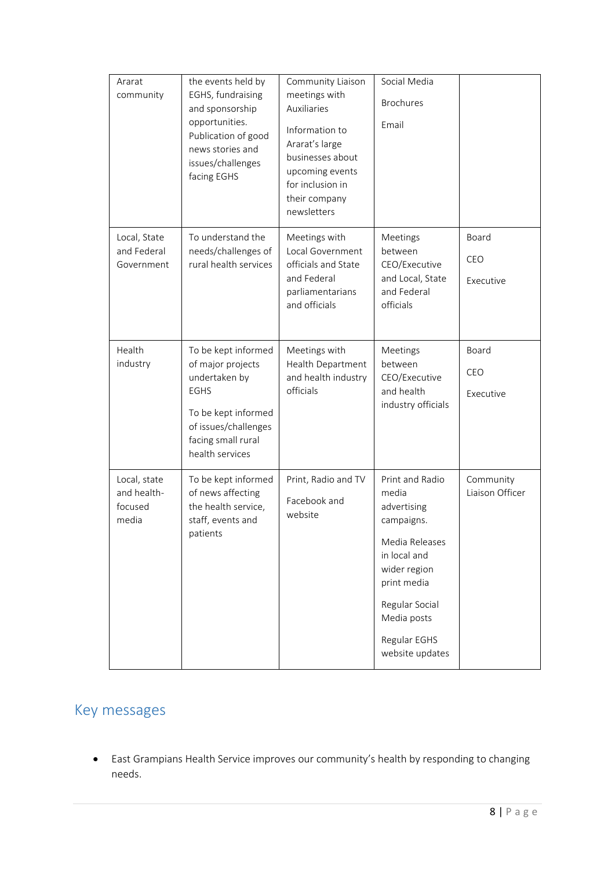| Ararat<br>community                             | the events held by<br>EGHS, fundraising<br>and sponsorship<br>opportunities.<br>Publication of good<br>news stories and<br>issues/challenges<br>facing EGHS      | Community Liaison<br>meetings with<br><b>Auxiliaries</b><br>Information to<br>Ararat's large<br>businesses about<br>upcoming events<br>for inclusion in<br>their company<br>newsletters | Social Media<br><b>Brochures</b><br>Email                                                                                                                                                  |                              |
|-------------------------------------------------|------------------------------------------------------------------------------------------------------------------------------------------------------------------|-----------------------------------------------------------------------------------------------------------------------------------------------------------------------------------------|--------------------------------------------------------------------------------------------------------------------------------------------------------------------------------------------|------------------------------|
| Local, State<br>and Federal<br>Government       | To understand the<br>needs/challenges of<br>rural health services                                                                                                | Meetings with<br>Local Government<br>officials and State<br>and Federal<br>parliamentarians<br>and officials                                                                            | Meetings<br>between<br>CEO/Executive<br>and Local, State<br>and Federal<br>officials                                                                                                       | Board<br>CEO<br>Executive    |
| Health<br>industry                              | To be kept informed<br>of major projects<br>undertaken by<br><b>EGHS</b><br>To be kept informed<br>of issues/challenges<br>facing small rural<br>health services | Meetings with<br>Health Department<br>and health industry<br>officials                                                                                                                  | Meetings<br>between<br>CEO/Executive<br>and health<br>industry officials                                                                                                                   | Board<br>CEO<br>Executive    |
| Local, state<br>and health-<br>focused<br>media | To be kept informed<br>of news affecting<br>the health service,<br>staff, events and<br>patients                                                                 | Print, Radio and TV<br>Facebook and<br>website                                                                                                                                          | Print and Radio<br>media<br>advertising<br>campaigns.<br>Media Releases<br>in local and<br>wider region<br>print media<br>Regular Social<br>Media posts<br>Regular EGHS<br>website updates | Community<br>Liaison Officer |

## Key messages

 East Grampians Health Service improves our community's health by responding to changing needs.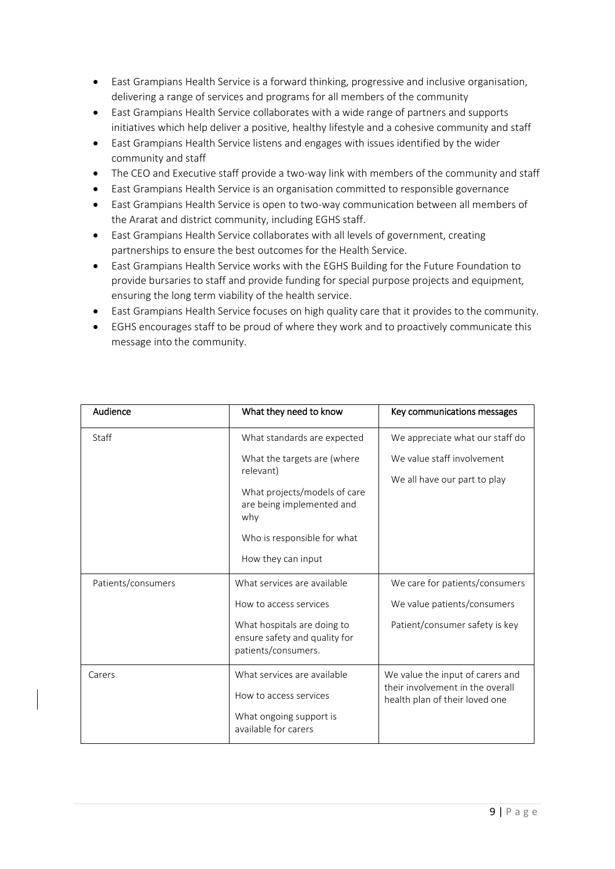- East Grampians Health Service is a forward thinking, progressive and inclusive organisation, delivering a range of services and programs for all members of the community
- East Grampians Health Service collaborates with a wide range of partners and supports initiatives which help deliver a positive, healthy lifestyle and a cohesive community and staff
- East Grampians Health Service listens and engages with issues identified by the wider community and staff
- The CEO and Executive staff provide a two-way link with members of the community and staff
- East Grampians Health Service is an organisation committed to responsible governance
- East Grampians Health Service is open to two-way communication between all members of the Ararat and district community, including EGHS staff.
- East Grampians Health Service collaborates with all levels of government, creating partnerships to ensure the best outcomes for the Health Service.
- East Grampians Health Service works with the EGHS Building for the Future Foundation to provide bursaries to staff and provide funding for special purpose projects and equipment, ensuring the long term viability of the health service.
- East Grampians Health Service focuses on high quality care that it provides to the community.
- EGHS encourages staff to be proud of where they work and to proactively communicate this message into the community.

| Audience           | What they need to know                                                              | Key communications messages                                          |
|--------------------|-------------------------------------------------------------------------------------|----------------------------------------------------------------------|
| Staff              | What standards are expected                                                         | We appreciate what our staff do                                      |
|                    | What the targets are (where<br>relevant)                                            | We value staff involvement                                           |
|                    | What projects/models of care<br>are being implemented and<br>why                    | We all have our part to play                                         |
|                    | Who is responsible for what                                                         |                                                                      |
|                    | How they can input                                                                  |                                                                      |
| Patients/consumers | What services are available                                                         | We care for patients/consumers                                       |
|                    | How to access services                                                              | We value patients/consumers                                          |
|                    | What hospitals are doing to<br>ensure safety and quality for<br>patients/consumers. | Patient/consumer safety is key                                       |
| Carers             | What services are available                                                         | We value the input of carers and<br>their involvement in the overall |
|                    | How to access services                                                              | health plan of their loved one                                       |
|                    | What ongoing support is<br>available for carers                                     |                                                                      |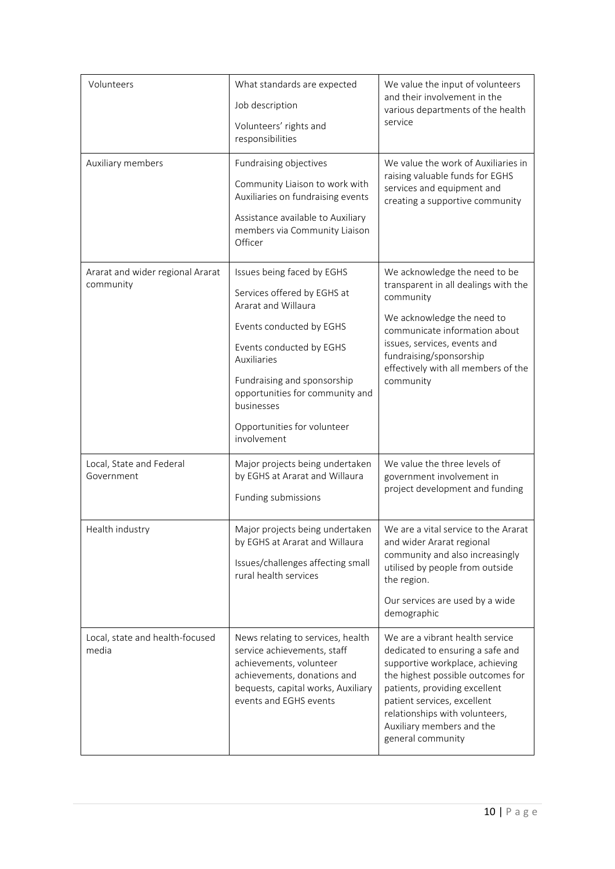| Volunteers                                    | What standards are expected<br>Job description<br>Volunteers' rights and<br>responsibilities                                                                                                                                                                                          | We value the input of volunteers<br>and their involvement in the<br>various departments of the health<br>service                                                                                                                                                                                |
|-----------------------------------------------|---------------------------------------------------------------------------------------------------------------------------------------------------------------------------------------------------------------------------------------------------------------------------------------|-------------------------------------------------------------------------------------------------------------------------------------------------------------------------------------------------------------------------------------------------------------------------------------------------|
| Auxiliary members                             | Fundraising objectives<br>Community Liaison to work with<br>Auxiliaries on fundraising events<br>Assistance available to Auxiliary<br>members via Community Liaison<br>Officer                                                                                                        | We value the work of Auxiliaries in<br>raising valuable funds for EGHS<br>services and equipment and<br>creating a supportive community                                                                                                                                                         |
| Ararat and wider regional Ararat<br>community | Issues being faced by EGHS<br>Services offered by EGHS at<br>Ararat and Willaura<br>Events conducted by EGHS<br>Events conducted by EGHS<br>Auxiliaries<br>Fundraising and sponsorship<br>opportunities for community and<br>businesses<br>Opportunities for volunteer<br>involvement | We acknowledge the need to be<br>transparent in all dealings with the<br>community<br>We acknowledge the need to<br>communicate information about<br>issues, services, events and<br>fundraising/sponsorship<br>effectively with all members of the<br>community                                |
| Local, State and Federal<br>Government        | Major projects being undertaken<br>by EGHS at Ararat and Willaura<br>Funding submissions                                                                                                                                                                                              | We value the three levels of<br>government involvement in<br>project development and funding                                                                                                                                                                                                    |
| Health industry                               | Major projects being undertaken<br>by EGHS at Ararat and Willaura<br>Issues/challenges affecting small<br>rural health services                                                                                                                                                       | We are a vital service to the Ararat<br>and wider Ararat regional<br>community and also increasingly<br>utilised by people from outside<br>the region.<br>Our services are used by a wide<br>demographic                                                                                        |
| Local, state and health-focused<br>media      | News relating to services, health<br>service achievements, staff<br>achievements, volunteer<br>achievements, donations and<br>bequests, capital works, Auxiliary<br>events and EGHS events                                                                                            | We are a vibrant health service<br>dedicated to ensuring a safe and<br>supportive workplace, achieving<br>the highest possible outcomes for<br>patients, providing excellent<br>patient services, excellent<br>relationships with volunteers,<br>Auxiliary members and the<br>general community |